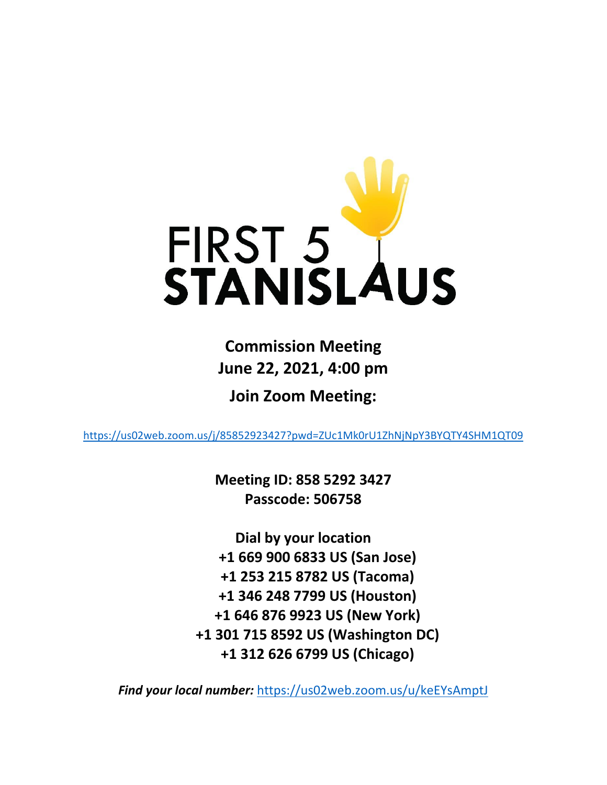

**Commission Meeting June 22, 2021, 4:00 pm**

**Join Zoom Meeting:**

<https://us02web.zoom.us/j/85852923427?pwd=ZUc1Mk0rU1ZhNjNpY3BYQTY4SHM1QT09>

**Meeting ID: 858 5292 3427 Passcode: 506758**

**Dial by your location +1 669 900 6833 US (San Jose) +1 253 215 8782 US (Tacoma) +1 346 248 7799 US (Houston) +1 646 876 9923 US (New York) +1 301 715 8592 US (Washington DC) +1 312 626 6799 US (Chicago)**

*Find your local number:* <https://us02web.zoom.us/u/keEYsAmptJ>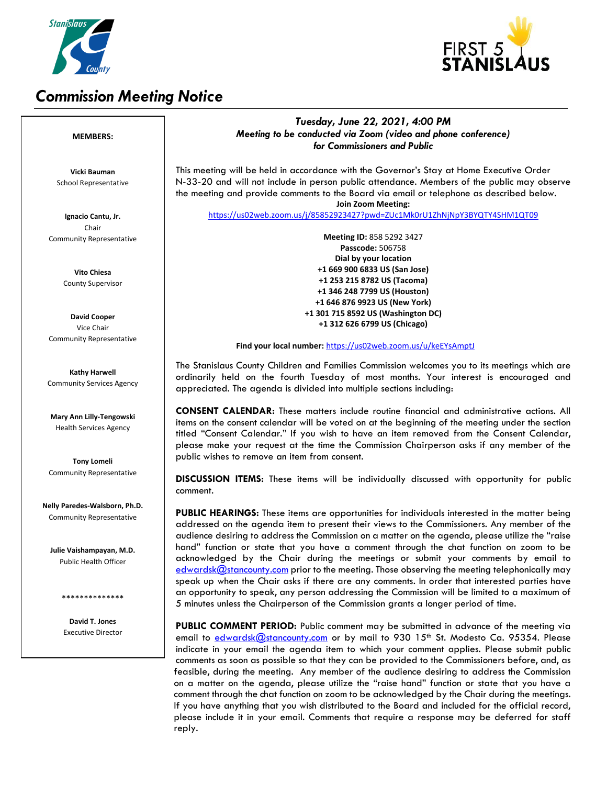

# *Commission Meeting Notice*



## *Tuesday, June 22, 2021, 4:00 PM Meeting to be conducted via Zoom (video and phone conference) for Commissioners and Public*

This meeting will be held in accordance with the Governor's Stay at Home Executive Order N-33-20 and will not include in person public attendance. Members of the public may observe the meeting and provide comments to the Board via email or telephone as described below. **Join Zoom Meeting:**

<https://us02web.zoom.us/j/85852923427?pwd=ZUc1Mk0rU1ZhNjNpY3BYQTY4SHM1QT09>

**Meeting ID:** 858 5292 3427 **Passcode:** 506758 **Dial by your location +1 669 900 6833 US (San Jose) +1 253 215 8782 US (Tacoma) +1 346 248 7799 US (Houston) +1 646 876 9923 US (New York) +1 301 715 8592 US (Washington DC) +1 312 626 6799 US (Chicago)**

#### **Find your local number:** <https://us02web.zoom.us/u/keEYsAmptJ>

The Stanislaus County Children and Families Commission welcomes you to its meetings which are ordinarily held on the fourth Tuesday of most months. Your interest is encouraged and appreciated. The agenda is divided into multiple sections including:

**CONSENT CALENDAR:** These matters include routine financial and administrative actions. All items on the consent calendar will be voted on at the beginning of the meeting under the section titled "Consent Calendar." If you wish to have an item removed from the Consent Calendar, please make your request at the time the Commission Chairperson asks if any member of the public wishes to remove an item from consent.

**DISCUSSION ITEMS:** These items will be individually discussed with opportunity for public comment.

**PUBLIC HEARINGS:** These items are opportunities for individuals interested in the matter being addressed on the agenda item to present their views to the Commissioners. Any member of the audience desiring to address the Commission on a matter on the agenda, please utilize the "raise hand" function or state that you have a comment through the chat function on zoom to be acknowledged by the Chair during the meetings or submit your comments by email to [edwardsk@stancounty.com](mailto:edwardsk@stancounty.com) prior to the meeting. Those observing the meeting telephonically may speak up when the Chair asks if there are any comments. In order that interested parties have an opportunity to speak, any person addressing the Commission will be limited to a maximum of 5 minutes unless the Chairperson of the Commission grants a longer period of time.

**PUBLIC COMMENT PERIOD:** Public comment may be submitted in advance of the meeting via email to [edwardsk@stancounty.com](mailto:edwardsk@stancounty.com) or by mail to 930 15<sup>th</sup> St. Modesto Ca. 95354. Please indicate in your email the agenda item to which your comment applies. Please submit public comments as soon as possible so that they can be provided to the Commissioners before, and, as feasible, during the meeting. Any member of the audience desiring to address the Commission on a matter on the agenda, please utilize the "raise hand" function or state that you have a comment through the chat function on zoom to be acknowledged by the Chair during the meetings. If you have anything that you wish distributed to the Board and included for the official record, please include it in your email. Comments that require a response may be deferred for staff reply.

### **MEMBERS:**

**Vicki Bauman** School Representative

**Ignacio Cantu, Jr.** Chair Community Representative

> **Vito Chiesa** County Supervisor

**David Cooper** Vice Chair Community Representative

**Kathy Harwell** Community Services Agency

**Mary Ann Lilly-Tengowski** Health Services Agency

**Tony Lomeli** Community Representative

**Nelly Paredes-Walsborn, Ph.D.** Community Representative

**Julie Vaishampayan, M.D.** Public Health Officer

\*\*\*\*\*\*\*\*\*\*\*\*\*\*

**David T. Jones** Executive Director